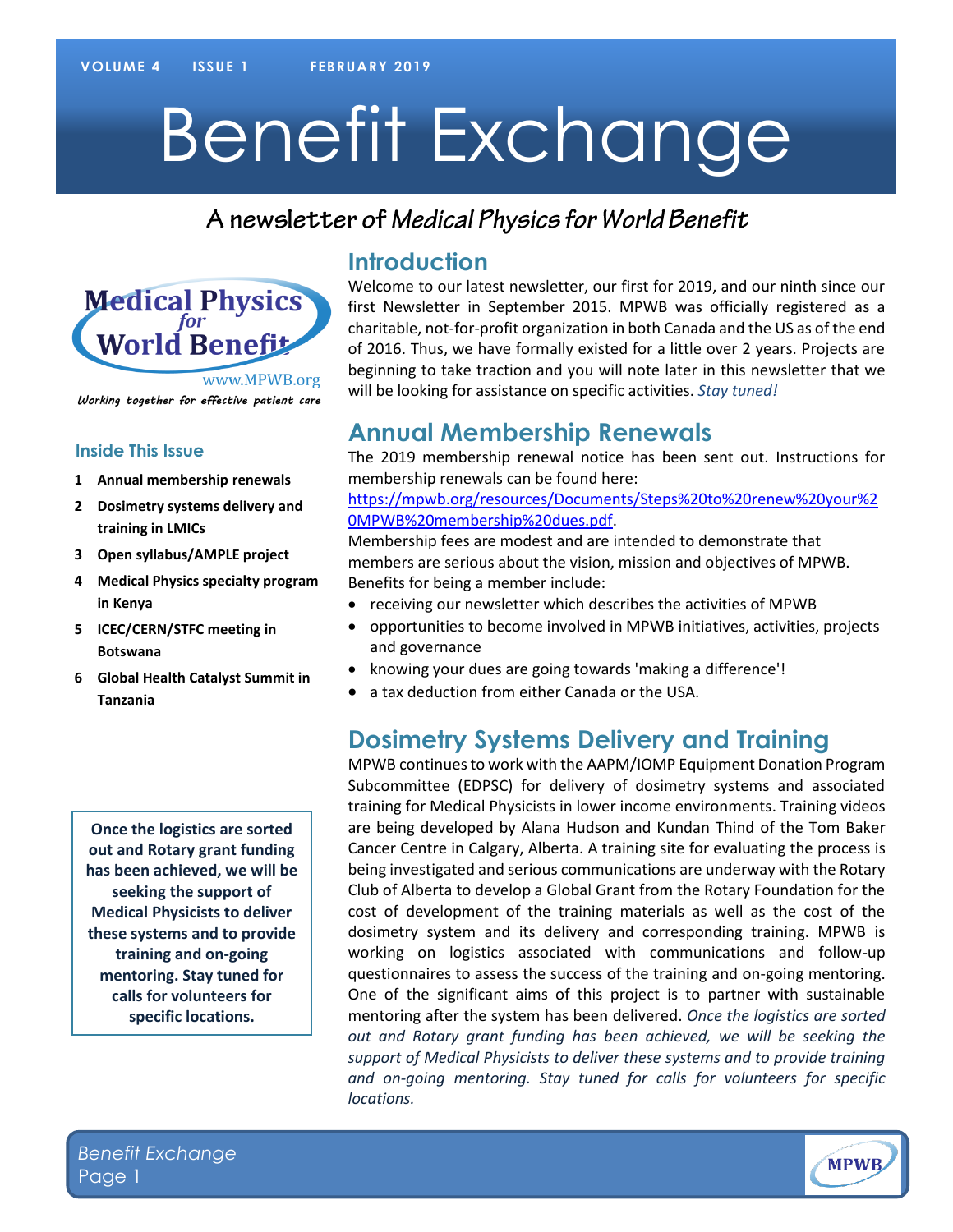# Benefit Exchange

## A newsletter of Medical Physics for World Benefit



#### Working together for effective patient care

#### **Inside This Issue**

- **1 Annual membership renewals**
- **2 Dosimetry systems delivery and training in LMICs**
- **3 Open syllabus/AMPLE project**
- **4 Medical Physics specialty program in Kenya**
- **5 ICEC/CERN/STFC meeting in Botswana**
- **6 Global Health Catalyst Summit in Tanzania**

**Once the logistics are sorted out and Rotary grant funding has been achieved, we will be seeking the support of Medical Physicists to deliver these systems and to provide training and on-going mentoring. Stay tuned for calls for volunteers for specific locations.**

#### **Introduction**

Welcome to our latest newsletter, our first for 2019, and our ninth since our first Newsletter in September 2015. MPWB was officially registered as a charitable, not-for-profit organization in both Canada and the US as of the end of 2016. Thus, we have formally existed for a little over 2 years. Projects are beginning to take traction and you will note later in this newsletter that we will be looking for assistance on specific activities. *Stay tuned!* 

### **Annual Membership Renewals**

The 2019 membership renewal notice has been sent out. Instructions for membership renewals can be found here:

[https://mpwb.org/resources/Documents/Steps%20to%20renew%20your%2](https://mpwb.org/resources/Documents/Steps%20to%20renew%20your%20MPWB%20membership%20dues.pdf) [0MPWB%20membership%20dues.pdf.](https://mpwb.org/resources/Documents/Steps%20to%20renew%20your%20MPWB%20membership%20dues.pdf)

Membership fees are modest and are intended to demonstrate that members are serious about the vision, mission and objectives of MPWB. Benefits for being a member include:

- receiving our newsletter which describes the activities of MPWB
- opportunities to become involved in MPWB initiatives, activities, projects and governance
- knowing your dues are going towards 'making a difference'!
- a tax deduction from either Canada or the USA.

#### **Dosimetry Systems Delivery and Training**

MPWB continuesto work with the AAPM/IOMP Equipment Donation Program Subcommittee (EDPSC) for delivery of dosimetry systems and associated training for Medical Physicists in lower income environments. Training videos are being developed by Alana Hudson and Kundan Thind of the Tom Baker Cancer Centre in Calgary, Alberta. A training site for evaluating the process is being investigated and serious communications are underway with the Rotary Club of Alberta to develop a Global Grant from the Rotary Foundation for the cost of development of the training materials as well as the cost of the dosimetry system and its delivery and corresponding training. MPWB is working on logistics associated with communications and follow-up questionnaires to assess the success of the training and on-going mentoring. One of the significant aims of this project is to partner with sustainable mentoring after the system has been delivered. *Once the logistics are sorted out and Rotary grant funding has been achieved, we will be seeking the support of Medical Physicists to deliver these systems and to provide training and on-going mentoring. Stay tuned for calls for volunteers for specific locations.*